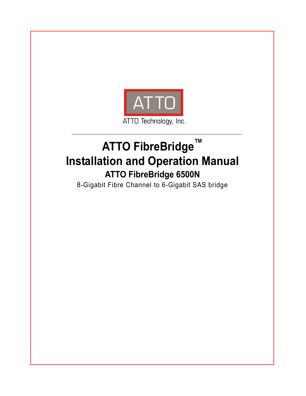

# **ATTO FibreBridge™ Installation and Operation Manual ATTO FibreBridge 6500N**

8-Gigabit Fibre Channel to 6-Gigabit SAS bridge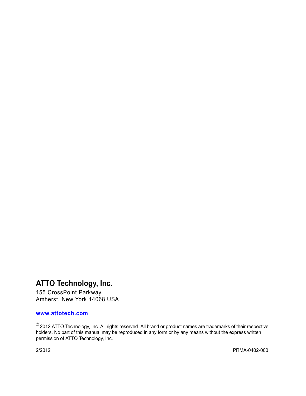# **ATTO Technology, Inc.**

155 CrossPoint Parkway Amherst, New York 14068 USA

#### **<www.attotech.com>**

 $^{\circledR}$  2012 ATTO Technology, Inc. All rights reserved. All brand or product names are trademarks of their respective holders. No part of this manual may be reproduced in any form or by any means without the express written permission of ATTO Technology, Inc.

2/2012........................................................................................................................................................ PRMA-0402-000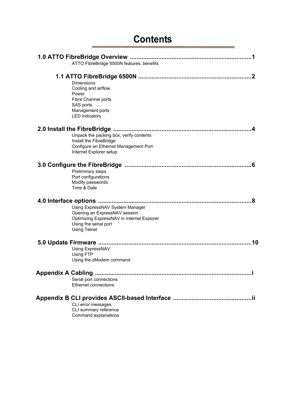# **[Contents](#page-4-0)**

| ATTO FibreBridge 6500N features, benefits                                                                                                                      |
|----------------------------------------------------------------------------------------------------------------------------------------------------------------|
| Dimensions<br>Cooling and airflow<br>Power<br>Fibre Channel ports<br>SAS ports<br>Management ports<br><b>LED</b> indicators                                    |
| Unpack the packing box; verify contents<br>Install the FibreBridge<br>Configure an Ethernet Management Port<br>Internet Explorer setup                         |
| Preliminary steps<br>Port configurations<br>Modify passwords<br>Time & Date                                                                                    |
| Using ExpressNAV System Manager<br>Opening an ExpressNAV session<br>Optimizing ExpressNAV in Internet Explorer<br>Using the serial port<br><b>Using Telnet</b> |
| 10<br>Using ExpressNAV<br>Using FTP<br>Using the zModem command                                                                                                |
| Serial port connections<br>Ethernet connections                                                                                                                |
| CLI error messages<br>CLI summary reference<br>Command explanations                                                                                            |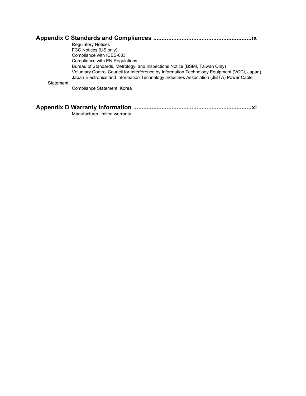|           | <b>Regulatory Notices</b>                                                                                                                                                               |
|-----------|-----------------------------------------------------------------------------------------------------------------------------------------------------------------------------------------|
|           | FCC Notices (US only)                                                                                                                                                                   |
|           | Compliance with ICES-003                                                                                                                                                                |
|           | Compliance with EN Regulations                                                                                                                                                          |
|           | Bureau of Standards, Metrology, and Inspections Notice (BSMI, Taiwan Only)                                                                                                              |
|           | Voluntary Control Council for Interference by Information Technology Equipment (VCCI, Japan)<br>Japan Electronics and Information Technology Industries Association (JEITA) Power Cable |
| Statement |                                                                                                                                                                                         |
|           | Compliance Statement, Korea                                                                                                                                                             |
|           |                                                                                                                                                                                         |
|           |                                                                                                                                                                                         |

| Manufacturer limited warranty |  |
|-------------------------------|--|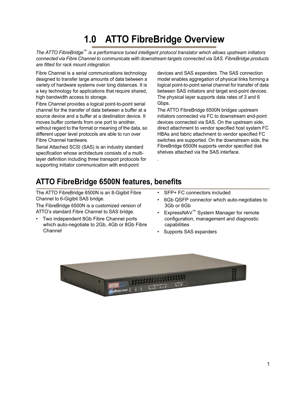# **1.0 ATTO FibreBridge Overview**

<span id="page-4-0"></span>*The ATTO FibreBridge*™ *is a performance tuned intelligent protocol translator which allows upstream initiators connected via Fibre Channel to communicate with downstream targets connected via SAS. FibreBridge products are fitted for rack mount integration.*

.

Fibre Channel is a serial communications technology designed to transfer large amounts of data between a variety of hardware systems over long distances. It is a key technology for applications that require shared, high bandwidth access to storage.

Fibre Channel provides a logical point-to-point serial channel for the transfer of data between a buffer at a source device and a buffer at a destination device. It moves buffer contents from one port to another, without regard to the format or meaning of the data, so different upper level protocols are able to run over Fibre Channel hardware.

Serial Attached SCSI (SAS) is an industry standard specification whose architecture consists of a multilayer definition including three transport protocols for supporting initiator communication with end-point

devices and SAS expanders. The SAS connection model enables aggregation of physical links forming a logical point-to-point serial channel for transfer of data between SAS initiators and target end-point devices. The physical layer supports data rates of 3 and 6 Gbps.

The ATTO FibreBridge 6500N bridges upstream initiators connected via FC to downstream end-point devices connected via SAS. On the upstream side, direct attachment to vendor specified host system FC HBAs and fabric attachment to vendor specified FC switches are supported. On the downstream side, the FibreBridge 6500N supports vendor specified disk shelves attached via the SAS interface.

# <span id="page-4-1"></span>**ATTO FibreBridge 6500N features, benefits**

The ATTO FibreBridge 6500N is an 8-Gigibit Fibre Channel to 6-Gigibit SAS bridge.

The FibreBridge 6500N is a customized version of ATTO's standard Fibre Channel to SAS bridge.

- Two independent 8Gb Fibre Channel ports which auto-negotiate to 2Gb, 4Gb or 8Gb Fibre Channel
- SFP+ FC connectors included
- 6Gb QSFP connector which auto-negotiates to 3Gb or 6Gb
- ExpressNAV™ System Manager for remote configuration, management and diagnostic capabilities
- Supports SAS expanders

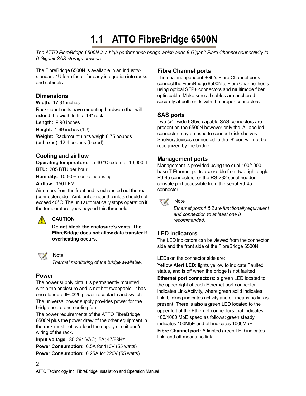# **1.1 ATTO FibreBridge 6500N**

<span id="page-5-0"></span>*The ATTO FibreBridge 6500N is a high performance bridge which adds 8-Gigabit Fibre Channel connectivity to 6-Gigabit SAS storage devices.*

The FibreBridge 6500N is available in an industrystandard 1U form factor for easy integration into racks and cabinets.

#### <span id="page-5-1"></span>**Dimensions**

**Width:** 17.31 inches

Rackmount units have mounting hardware that will extend the width to fit a 19" rack.

**Length:** 9.90 inches

**Height:** 1.69 inches (1U)

**Weight:** Rackmount units weigh 8.75 pounds (unboxed), 12.4 pounds (boxed).

### **Cooling and airflow**

**Operating temperature:** 5-40 °C external; 10,000 ft. **BTU:** 205 BTU per hour **Humidity:** 10-90% non-condensing

**Airflow:** 150 LFM

Air enters from the front and is exhausted out the rear (connector side). Ambient air near the inlets should not exceed 40°C. The unit automatically stops operation if the temperature goes beyond this threshold.

### **CAUTION**

Note

**Do not block the enclosure's vents. The FibreBridge does not allow data transfer if overheating occurs.**



⚠

*Thermal monitoring of the bridge available.*

### <span id="page-5-2"></span>**Power**

2

The power supply circuit is permanently mounted within the enclosure and is not hot swappable. It has one standard IEC320 power receptacle and switch.

The universal power supply provides power for the bridge board and cooling fan.

The power requirements of the ATTO FibreBridge 6500N plus the power draw of the other equipment in the rack must not overload the supply circuit and/or wiring of the rack.

**Input voltage:** 85-264 VAC; .5A; 47/63Hz. **Power Consumption:** 0.5A for 110V (55 watts) **Power Consumption:** 0.25A for 220V (55 watts)

## <span id="page-5-3"></span>**Fibre Channel ports**

The dual independent 8Gb/s Fibre Channel ports connect the FibreBridge 6500N to Fibre Channel hosts using optical SFP+ connectors and multimode fiber optic cable. Make sure all cables are anchored securely at both ends with the proper connectors.

## **SAS ports**

Two (x4) wide 6Gb/s capable SAS connectors are present on the 6500N however only the 'A' labelled connector may be used to connect disk shelves. Shelves/devices connected to the 'B' port will not be recognized by the bridge.

### <span id="page-5-4"></span>**Management ports**

Management is provided using the dual 100/1000 base T Ethernet ports accessible from two right angle RJ-45 connectors, or the RS-232 serial header console port accessible from the serial RJ-45 connector.



*Ethernet ports 1 & 2 are functionally equivalent and connection to at least one is recommended.*

## <span id="page-5-5"></span>**LED indicators**

The LED indicators can be viewed from the connector side and the front side of the FibreBridge 6500N.

LEDs on the connector side are:

**Yellow Alert LED:** lights yellow to indicate Faulted status, and is off when the bridge is not faulted

**Ethernet port connectors: a green LED located to** the upper right of each Ethernet port connector indicates Link/Activity, where green solid indicates link, blinking indicates activity and off means no link is present. There is also a green LED located to the upper left of the Ethernet connectors that indicates 100/1000 MbE speed as follows: green steady indicates 100MbE and off indicates 1000MbE.

**Fibre Channel port:** A lighted green LED indicates link, and off means no link.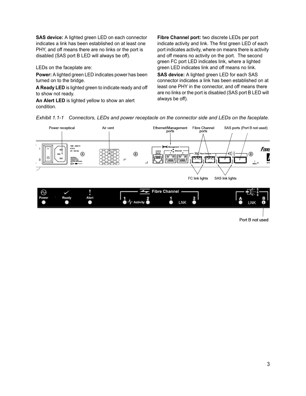**SAS device:** A lighted green LED on each connector indicates a link has been established on at least one PHY, and off means there are no links or the port is disabled (SAS port B LED will always be off).

LEDs on the faceplate are:

**Power:** A lighted green LED indicates power has been turned on to the bridge.

**A Ready LED** is lighted green to indicate ready and off to show not ready.

**An Alert LED** is lighted yellow to show an alert condition.

**Fibre Channel port:** two discrete LEDs per port indicate activity and link. The first green LED of each port indicates activity, where on means there is activity and off means no activity on the port. The second green FC port LED indicates link, where a lighted green LED indicates link and off means no link.

**SAS device:** A lighted green LED for each SAS connector indicates a link has been established on at least one PHY in the connector, and off means there are no links or the port is disabled (SAS port B LED will always be off).



*Exhibit 1.1-1 Connectors, LEDs and power receptacle on the connector side and LEDs on the faceplate.*

Port B not used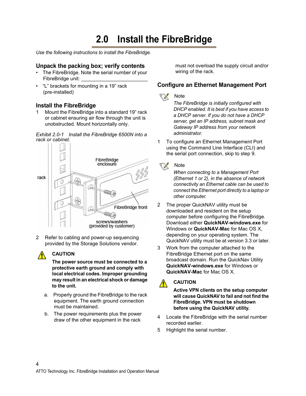# **2.0 Install the FibreBridge**

<span id="page-7-0"></span>*Use the following instructions to install the FibreBridge.*

#### <span id="page-7-1"></span>**Unpack the packing box; verify contents**

- The FibreBridge. Note the serial number of your FibreBridge unit:
- "L" brackets for mounting in a 19" rack (pre-installed)

### <span id="page-7-2"></span>**Install the FibreBridge**

1 Mount the FibreBridge into a standard 19" rack or cabinet ensuring air flow through the unit is unobstructed. Mount horizontally only.

*Exhibit 2.0-1 Install the FibreBridge 6500N into a rack or cabinet.*



2 Refer to cabling and power-up sequencing provided by the Storage Solutions vendor.

### **CAUTION**

4

**The power source must be connected to a protective earth ground and comply with local electrical codes. Improper grounding may result in an electrical shock or damage to the unit.**

- a. Properly ground the FibreBridge to the rack equipment. The earth ground connection must be maintained.
- b. The power requirements plus the power draw of the other equipment in the rack

must not overload the supply circuit and/or wiring of the rack.

### <span id="page-7-4"></span><span id="page-7-3"></span>**Configure an Ethernet Management Port**



*The FibreBridge is initially configured with DHCP enabled. It is best if you have access to a DHCP server. If you do not have a DHCP server, get an IP address, subnet mask and Gateway IP address from your network administrator.*

1 To configure an Ethernet Management Port using the Command Line Interface (CLI) and the serial port connection, skip to step 9.

#### Note ▽

*When connecting to a Management Port (Ethernet 1 or 2), in the absence of network connectivity an Ethernet cable can be used to connect the Ethernet port directly to a laptop or other computer.*

- 2 The proper QuickNAV utility must be downloaded and resident on the setup computer before configuring the FibreBridge. Download either **QuickNAV-windows.exe** for Windows or **QuickNAV-Mac** for Mac OS X, depending on your operating system. The QuickNAV utility must be at version 3.3 or later.
- 3 Work from the computer attached to the FibreBridge Ethernet port on the same broadcast domain. Run the QuickNav Utility **QuickNAV-windows.exe** for Windows or **QuickNAV-Mac** for Mac OS X.

#### **CAUTION** ⚠

**Active VPN clients on the setup computer will cause QuickNAV to fail and not find the FibreBridge. VPN must be shutdown before using the QuickNAV utility.**

- 4 Locate the FibreBridge with the serial number recorded earlier.
- 5 Highlight the serial number.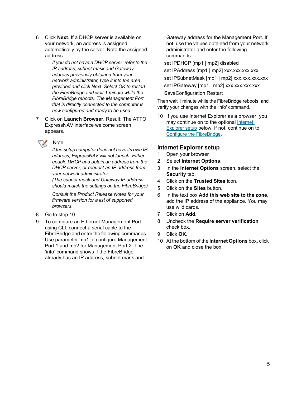6 Click **Next**. If a DHCP server is available on your network, an address is assigned automatically by the server. Note the assigned address:

> *If you do not have a DHCP server: refer to the IP address, subnet mask and Gateway address previously obtained from your network administrator, type it into the area provided and click Next. Select OK to restart the FibreBridge and wait 1 minute while the FibreBridge reboots. The Management Port that is directly connected to the computer is now configured and ready to be used.*

7 Click on **Launch Browser.** Result: The ATTO ExpressNAV interface welcome screen appears.

# Note

*If the setup computer does not have its own IP address, ExpressNAV will not launch. Either enable DHCP and obtain an address from the DHCP server, or request an IP address from your network administrator.*

*(The subnet mask and Gateway IP address should match the settings on the FibreBridge)*

*Consult the Product Release Notes for your firmware version for a list of supported browsers.*

- 8 Go to step 10.
- 9 To configure an Ethernet Management Port using CLI, connect a serial cable to the FibreBridge and enter the following commands. Use parameter mp1 to configure Management Port 1 and mp2 for Management Port 2: The 'info' command shows if the FibreBridge already has an IP address, subnet mask and

Gateway address for the Management Port. If not, use the values obtained from your network administrator and enter the following commands:

set IPDHCP [mp1 | mp2] disabled

set IPAddress [mp1 | mp2] xxx.xxx.xxx.xxx set IPSubnetMask [mp1 | mp2] xxx.xxx.xxx.xxx set IPGateway [mp1 | mp2] xxx.xxx.xxx.xxx SaveConfiguration Restart

Then wait 1 minute while the FibreBridge reboots, and verify your changes with the 'info' command.

10 If you use Internet Explorer as a browser, you may continue on to the optional [Internet](#page-8-0)  [Explorer setup](#page-8-0) below. If not, continue on to [Configure the FibreBridge.](#page-9-4)

#### <span id="page-8-0"></span>**Internet Explorer setup**

- 1 Open your browser
- 2 Select **Internet Options**.
- 3 In the **Internet Options** screen, select the **Security** tab.
- 4 Click on the **Trusted Sites** icon.
- 5 Click on the **Sites** button.
- 6 In the text box **Add this web site to the zone**, add the IP address of the appliance. You may use wild cards.
- 7 Click on **Add.**
- 8 Uncheck the **Require server verification** check box.
- 9 Click **OK.**
- 10 At the bottom of the **Internet Options** box, click on **OK** and close the box.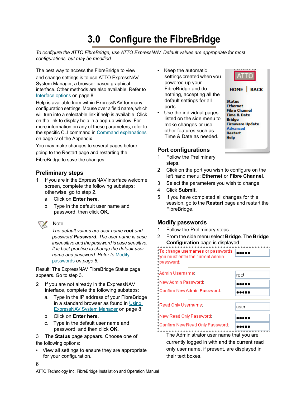# <span id="page-9-4"></span>**3.0 Configure the FibreBridge**

<span id="page-9-0"></span>*To configure the ATTO FibreBridge, use ATTO ExpressNAV. Default values are appropriate for most configurations, but may be modified.*

The best way to access the FibreBridge to view and change settings is to use ATTO ExpressNAV System Manager, a browser-based graphical interface. Other methods are also available. Refer to [Interface options on page 8.](#page-11-5)

Help is available from within ExpressNAV for many configuration settings. Mouse over a field name, which will turn into a selectable link if help is available. Click on the link to display help in a pop-up window. For more information on any of these parameters, refer to the specific CLI command in [Command explanations](#page-18-1) [on page iv](#page-18-1) of the Appendix.

You may make changes to several pages before going to the Restart page and restarting the FibreBridge to save the changes.

#### <span id="page-9-1"></span>**Preliminary steps**

- 1 If you are in the ExpressNAV interface welcome screen, complete the following substeps; otherwise, go to step 2.
	- a. Click on **Enter here**.
	- b. Type in the default user name and password, then click **OK**.



**Note** 

*The default values are user name root and password Password. The user name is case insensitive and the password is case sensitive. It is best practice to change the default user name and password. Refer to* [Modify](#page-9-3)  [passwords](#page-9-3) *on page 6.*

Result: The ExpressNAV FibreBridge Status page appears. Go to step 3.

- 2 If you are not already in the ExpressNAV interface, complete the following substeps:
	- a. Type in the IP address of your FibreBridge in a standard browser as found in [Using](#page-11-6)  [ExpressNAV System Manager on page 8.](#page-11-6)
	- b. Click on **Enter here**.
	- c. Type in the default user name and password, and then click **OK**.

3 The **Status** page appears. Choose one of the following options:

• View all settings to ensure they are appropriate for your configuration.

- Keep the automatic settings created when you powered up your FibreBridge and do nothing, accepting all the default settings for all ports.
- Use the individual pages listed on the side menu to make changes or use other features such as Time & Date as needed.



#### <span id="page-9-2"></span>**Port configurations**

- 1 Follow the Preliminary steps.
- 2 Click on the port you wish to configure on the left hand menu: **Ethernet** or **Fibre Channel**.
- 3 Select the parameters you wish to change.
- 4 Click **Submit**.
- 5 If you have completed all changes for this session, go to the **Restart** page and restart the FibreBridge.

## <span id="page-9-5"></span><span id="page-9-3"></span>**Modify passwords**

- 1 Follow the Preliminary steps.
- 2 From the side menu select **Bridge**. The **Bridge Configuration** page is displayed.

| : To change usernames or passwords<br>you must enter the current Admin<br>·password: |      |
|--------------------------------------------------------------------------------------|------|
| Admin Username:                                                                      | roct |
| New Admin Password:                                                                  |      |
| Cunfirm New Admin Password.                                                          |      |
| -Read Only Username:                                                                 | user |
| New Read Only Password:                                                              |      |
| Confirm New Read Only Password:                                                      |      |

The Administrator user name that you are currently logged in with and the current read only user name, if present, are displayed in their text boxes.

ATTO Technology Inc. FibreBridge Installation and Operation Manual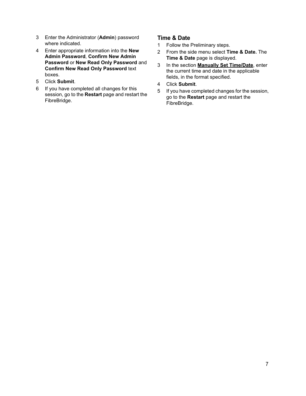- 3 Enter the Administrator (**Admin**) password where indicated.
- 4 Enter appropriate information into the **New Admin Password**, **Confirm New Admin Password** or **New Read Only Password** and **Confirm New Read Only Password** text boxes.
- 5 Click **Submit**.
- 6 If you have completed all changes for this session, go to the **Restart** page and restart the FibreBridge.

#### <span id="page-10-0"></span>**Time & Date**

- 1 Follow the Preliminary steps.
- 2 From the side menu select **Time & Date.** The **Time & Date** page is displayed.
- 3 In the section **Manually Set Time/Date**, enter the current time and date in the applicable fields, in the format specified.
- 4 Click **Submit**.
- 5 If you have completed changes for the session, go to the **Restart** page and restart the FibreBridge.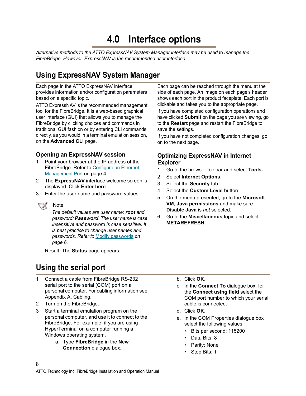# <span id="page-11-5"></span>**4.0 Interface options**

<span id="page-11-0"></span>*Alternative methods to the ATTO ExpressNAV System Manager interface may be used to manage the FibreBridge. However, ExpressNAV is the recommended user interface.*

# <span id="page-11-6"></span><span id="page-11-1"></span>**Using ExpressNAV System Manager**

Each page in the ATTO ExpressNAV interface provides information and/or configuration parameters based on a specific topic.

ATTO ExpressNAV is the recommended management tool for the FibreBridge. It is a web-based graphical user interface (GUI) that allows you to manage the FibreBridge by clicking choices and commands in traditional GUI fashion or by entering CLI commands directly, as you would in a terminal emulation session, on the **Advanced CLI** page.

## <span id="page-11-2"></span>**Opening an ExpressNAV session**

- 1 Point your browser at the IP address of the FibreBridge. Refer to Configure an Ethernet [Management Port on page 4.](#page-7-4)
- 2 The **ExpressNAV** interface welcome screen is displayed. Click **Enter here**.
- 3 Enter the user name and password values.

#### ▽ Note

*The default values are user name: root and password: Password. The user name is case insensitive and password is case sensitive. It is best practice to change user names and passwords. Refer to* [Modify passwords](#page-9-5) *on [page 6](#page-9-5).*

Result: The **Status** page appears.

# <span id="page-11-8"></span><span id="page-11-4"></span>**Using the serial port**

- 1 Connect a cable from FibreBridge RS-232 serial port to the serial (COM) port on a personal computer. For cabling information see Appendix A, Cabling.
- 2 Turn on the FibreBridge.

8

- 3 Start a terminal emulation program on the personal computer, and use it to connect to the FibreBridge. For example, if you are using HyperTerminal on a computer running a Windows operating system,
	- a. Type **FibreBridge** in the **New Connection** dialogue box.

Each page can be reached through the menu at the side of each page. An image on each page's header shows each port in the product faceplate. Each port is clickable and takes you to the appropriate page. If you have completed configuration operations and have clicked **Submit** on the page you are viewing, go to the **Restart** page and restart the FibreBridge to save the settings.

If you have not completed configuration changes, go on to the next page.

## <span id="page-11-7"></span><span id="page-11-3"></span>**Optimizing ExpressNAV in Internet Explorer**

- 1 Go to the browser toolbar and select **Tools.**
- 2 Select **Internet Options.**
- 3 Select the **Security** tab.
- 4 Select the **Custom Level** button.
- 5 On the menu presented, go to the **Microsoft VM, Java permissions** and make sure **Disable Java** is *not* selected.
- 6 Go to the **Miscellaneous** topic and select **METAREFRESH**.

- b. Click **OK**.
- c. In the **Connect To** dialogue box, for the **Connect using field** select the COM port number to which your serial cable is connected.
- d. Click **OK**.
- e. In the COM Properties dialogue box select the following values:
	- Bits per second: 115200
	- Data Bits: 8
	- Parity: None
	- Stop Bits: 1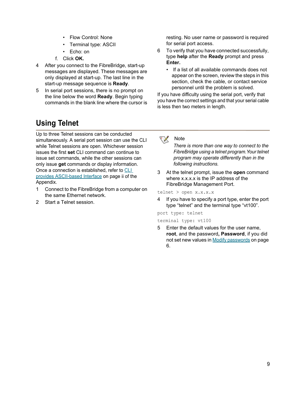- Flow Control: None
- Terminal type: ASCII
- Echo: on
- f. Click **OK.**
- 4 After you connect to the FibreBridge, start-up messages are displayed. These messages are only displayed at start-up. The last line in the start-up message sequence is **Ready**.
- 5 In serial port sessions, there is no prompt on the line below the word **Ready**. Begin typing commands in the blank line where the cursor is

resting. No user name or password is required for serial port access.

- 6 To verify that you have connected successfully, type **help** after the **Ready** prompt and press **Enter.**
	- If a list of all available commands does not appear on the screen, review the steps in this section, check the cable, or contact service personnel until the problem is solved.

If you have difficulty using the serial port, verify that you have the correct settings and that your serial cable is less then two meters in length.

# <span id="page-12-0"></span>**Using Telnet**

Up to three Telnet sessions can be conducted simultaneously. A serial port session can use the CLI while Telnet sessions are open. Whichever session issues the first **set** CLI command can continue to issue set commands, while the other sessions can only issue **get** commands or display information. Once a connection is established, refer to [CLI](#page-16-1)  [provides ASCII-based Interface on page ii of the](#page-16-1)  [Appendix.](#page-16-1)

- 1 Connect to the FibreBridge from a computer on the same Ethernet network.
- 2 Start a Telnet session.

#### ∇Х **Note**

*There is more than one way to connect to the FibreBridge using a telnet program.Your telnet program may operate differently than in the following instructions.*

3 At the telnet prompt, issue the **open** command where x.x.x.x is the IP address of the FibreBridge Management Port.

telnet > open x.x.x.x

4 If you have to specify a port type, enter the port type "telnet" and the terminal type "vt100".

port type: telnet

terminal type: vt100

5 Enter the default values for the user name, **root**, and the password**, Password**, if you did not set new values in [Modify passwords on page](#page-9-5)  [6.](#page-9-5)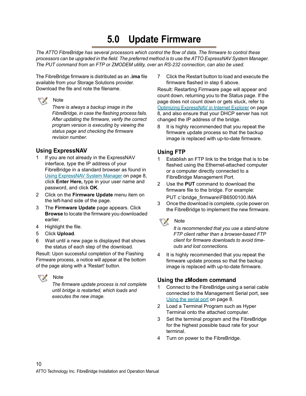# **5.0 Update Firmware**

<span id="page-13-0"></span>*The ATTO FibreBridge has several processors which control the flow of data. The firmware to control these processors can be upgraded in the field. The preferred method is to use the ATTO ExpressNAV System Manager. The PUT command from an FTP or ZMODEM utility, over an RS-232 connection, can also be used.*

The FibreBridge firmware is distributed as an **.ima** file available from your Storage Solutions provider. Download the file and note the filename.

#### **Note** マメ

*There is always a backup image in the FibreBridge, in case the flashing process fails. After updating the firmware, verify the correct program version is executing by viewing the status page and checking the firmware revision number.*

## <span id="page-13-1"></span>**Using ExpressNAV**

- 1 If you are not already in the ExpressNAV interface, type the IP address of your FibreBridge in a standard browser as found in [Using ExpressNAV System Manager on page 8](#page-11-6), click **Enter Here,** type in your user name and password, and click **OK**.
- 2 Click on the **Firmware Update** menu item on the left-hand side of the page.
- 3 The **Firmware Update** page appears. Click **Browse** to locate the firmware you downloaded earlier.
- 4 Highlight the file.
- 5 Click **Upload**.
- 6 Wait until a new page is displayed that shows the status of each step of the download.

Result: Upon successful completion of the Flashing Firmware process, a notice will appear at the bottom of the page along with a 'Restart' button.



### Note

*The firmware update process is not complete until bridge is restarted, which loads and executes the new image.*

7 Click the Restart button to load and execute the firmware flashed in step 6 above.

Result: Restarting Firmware page will appear and count down, returning you to the Status page. If the page does not count down or gets stuck, refer to [Optimizing ExpressNAV in Internet Explorer on page](#page-11-7)  [8](#page-11-7), and also ensure that your DHCP server has not changed the IP address of the bridge.

8 It is highly recommended that you repeat the firmware update process so that the backup image is replaced with up-to-date firmware.

## <span id="page-13-2"></span>**Using FTP**

- 1 Establish an FTP link to the bridge that is to be flashed using the Ethernet-attached computer or a computer directly connected to a FibreBridge Management Port.
- 2 Use the **PUT** command to download the firmware file to the bridge. For example:
	- PUT c:\bridge\_firmware\FB6500100.IMA
- 3 Once the download is complete, cycle power on the FibreBridge to implement the new firmware.



*It is recommended that you use a stand-alone FTP client rather than a browser-based FTP client for firmware downloads to avoid timeouts and lost connections.*

4 It is highly recommended that you repeat the firmware update process so that the backup image is replaced with up-to-date firmware.

## <span id="page-13-3"></span>**Using the zModem command**

- 1 Connect to the FibreBridge using a serial cable connected to the Management Serial port, see [Using the serial port on page 8.](#page-11-8)
- 2 Load a Terminal Program such as Hyper Terminal onto the attached computer.
- Set the terminal program and the FibreBridge for the highest possible baud rate for your terminal.
- 4 Turn on power to the FibreBridge.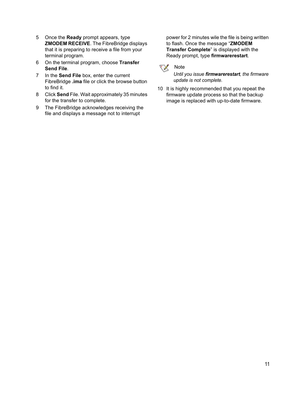- 5 Once the **Ready** prompt appears, type **ZMODEM RECEIVE**. The FibreBridge displays that it is preparing to receive a file from your terminal program.
- 6 On the terminal program, choose **Transfer Send File**.
- 7 In the **Send File** box, enter the current FibreBridge **.ima** file or click the browse button to find it.
- 8 Click **Send** File. Wait approximately 35 minutes for the transfer to complete.
- 9 The FibreBridge acknowledges receiving the file and displays a message not to interrupt

power for 2 minutes wile the file is being written to flash. Once the message "**ZMODEM Transfer Complete**" is displayed with the Ready prompt, type **firmwarerestart**.



#### *Until you issue firmwarerestart, the firmware update is not complete.*

10 It is highly recommended that you repeat the firmware update process so that the backup image is replaced with up-to-date firmware.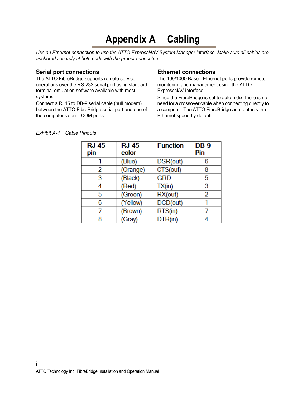# **Appendix A Cabling**

<span id="page-15-0"></span>*Use an Ethernet connection to use the ATTO ExpressNAV System Manager interface. Make sure all cables are anchored securely at both ends with the proper connectors.* 

#### <span id="page-15-1"></span>**Serial port connections**

The ATTO FibreBridge supports remote service operations over the RS-232 serial port using standard terminal emulation software available with most systems.

Connect a RJ45 to DB-9 serial cable (null modem) between the ATTO FibreBridge serial port and one of the computer's serial COM ports.

#### <span id="page-15-2"></span>**Ethernet connections**

The 100/1000 BaseT Ethernet ports provide remote monitoring and management using the ATTO ExpressNAV interface.

Since the FibreBridge is set to auto mdix, there is no need for a crossover cable when connecting directly to a computer. The ATTO FibreBridge auto detects the Ethernet speed by default.

| <b>RJ-45</b><br>pin | <b>RJ-45</b><br>color | <b>Function</b> | $DB-9$<br>Pin |
|---------------------|-----------------------|-----------------|---------------|
|                     | (Blue)                | DSR(out)        | 6             |
| 2                   | (Orange)              | CTS(out)        | 8             |
| 3                   | (Black)               | <b>GRD</b>      | 5             |
| 4                   | (Red)                 | TX(in)          | 3             |
| 5                   | (Green)               | RX(out)         | 2             |
| 6                   | (Yellow)              | DCD(out)        |               |
|                     | (Brown)               | RTS(in)         |               |
| 8                   | (Gray)                | DTR(in)         |               |

#### *Exhibit A-1 Cable Pinouts*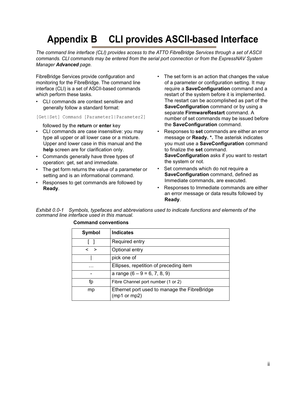# <span id="page-16-1"></span><span id="page-16-0"></span>**Appendix B CLI provides ASCII-based Interface**

*The command line interface (CLI) provides access to the ATTO FibreBridge Services through a set of ASCII commands. CLI commands may be entered from the serial port connection or from the ExpressNAV System Manager Advanced page.* 

FibreBridge Services provide configuration and monitoring for the FibreBridge. The command line interface (CLI) is a set of ASCII-based commands which perform these tasks.

• CLI commands are context sensitive and generally follow a standard format:

[Get|Set] Command [Parameter1|Parameter2]

followed by the **return** or **enter** key

- CLI commands are case insensitive: you may type all upper or all lower case or a mixture. Upper and lower case in this manual and the **help** screen are for clarification only.
- Commands generally have three types of operation: get, set and immediate.
- The get form returns the value of a parameter or setting and is an informational command.
- Responses to get commands are followed by **Ready**.
- The set form is an action that changes the value of a parameter or configuration setting. It may require a **SaveConfiguration** command and a restart of the system before it is implemented. The restart can be accomplished as part of the **SaveConfiguration** command or by using a separate **FirmwareRestart** command. A number of set commands may be issued before the **SaveConfiguration** command.
- Responses to **set** commands are either an error message or **Ready. \*.** The asterisk indicates you must use a **SaveConfiguration** command to finalize the **set** command. **SaveConfiguration** asks if you want to restart the system or not.
- Set commands which do not require a **SaveConfiguration** command, defined as Immediate commands, are executed.
- Responses to Immediate commands are either an error message or data results followed by **Ready***.*

*Exhibit 0.0-1 Symbols, typefaces and abbreviations used to indicate functions and elements of the command line interface used in this manual.*

| Symbol      | <b>Indicates</b>                                             |
|-------------|--------------------------------------------------------------|
|             | Required entry                                               |
| $\langle$ > | Optional entry                                               |
|             | pick one of                                                  |
| .           | Ellipses, repetition of preceding item                       |
|             | a range $(6 - 9 = 6, 7, 8, 9)$                               |
| fp          | Fibre Channel port number (1 or 2)                           |
| mp          | Ethernet port used to manage the FibreBridge<br>(mp1 or mp2) |

#### **Command conventions**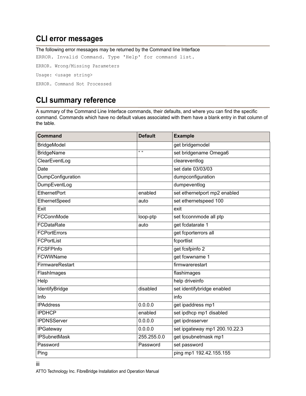# <span id="page-17-0"></span>**CLI error messages**

The following error messages may be returned by the Command line Interface ERROR. Invalid Command. Type 'Help' for command list. ERROR. Wrong/Missing Parameters Usage: <usage string> ERROR. Command Not Processed

# <span id="page-17-1"></span>**CLI summary reference**

A summary of the Command Line Interface commands, their defaults, and where you can find the specific command. Commands which have no default values associated with them have a blank entry in that column of the table.

| <b>Command</b>      | <b>Default</b> | <b>Example</b>                |
|---------------------|----------------|-------------------------------|
| <b>BridgeModel</b>  |                | get bridgemodel               |
| <b>BridgeName</b>   | $\mathfrak{u}$ | set bridgename Omega6         |
| ClearEventLog       |                | cleareventlog                 |
| Date                |                | set date 03/03/03             |
| DumpConfiguration   |                | dumpconfiguration             |
| DumpEventLog        |                | dumpeventlog                  |
| <b>EthernetPort</b> | enabled        | set ethernetport mp2 enabled  |
| EthernetSpeed       | auto           | set ethernetspeed 100         |
| Exit                |                | exit                          |
| FCConnMode          | loop-ptp       | set fcconnmode all ptp        |
| FCDataRate          | auto           | get fcdatarate 1              |
| <b>FCPortErrors</b> |                | get fcporterrors all          |
| FCPortList          |                | fcportlist                    |
| <b>FCSFPInfo</b>    |                | get fcsfpinfo 2               |
| FCWWName            |                | get fcwwname 1                |
| FirmwareRestart     |                | firmwarerestart               |
| FlashImages         |                | flashimages                   |
| Help                |                | help driveinfo                |
| IdentifyBridge      | disabled       | set identifybridge enabled    |
| Info                |                | info                          |
| <b>IPAddress</b>    | 0.0.0.0        | get ipaddress mp1             |
| <b>IPDHCP</b>       | enabled        | set ipdhcp mp1 disabled       |
| <b>IPDNSServer</b>  | 0.0.0.0        | get ipdnsserver               |
| <b>IPGateway</b>    | 0.0.0.0        | set ipgateway mp1 200.10.22.3 |
| <b>IPSubnetMask</b> | 255.255.0.0    | get ipsubnetmask mp1          |
| Password            | Password       | set password                  |
| Ping                |                | ping mp1 192.42.155.155       |

ATTO Technology Inc. FibreBridge Installation and Operation Manual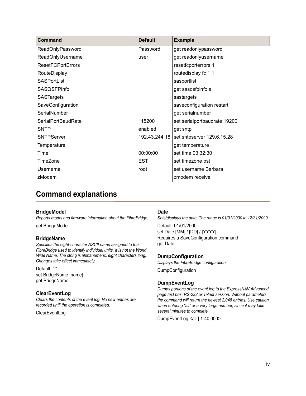| Command                   | <b>Default</b> | <b>Example</b>               |
|---------------------------|----------------|------------------------------|
| ReadOnlyPassword          | Password       | get readonlypassword         |
| ReadOnlyUsername          | user           | get readonlyusername         |
| <b>ResetFCPortErrors</b>  |                | resetfcporterrors 1          |
| RouteDisplay              |                | routedisplay fc 1 1          |
| <b>SASPortList</b>        |                | sasportlist                  |
| <b>SASQSFPInfo</b>        |                | get sasqsfpinfo a            |
| <b>SASTargets</b>         |                | sastargets                   |
| SaveConfiguration         |                | saveconfiguration restart    |
| SerialNumber              |                | get serialnumber             |
| <b>SerialPortBaudRate</b> | 115200         | set serialportbaudrate 19200 |
| <b>SNTP</b>               | enabled        | get sntp                     |
| <b>SNTPServer</b>         | 192.43.244.18  | set sntpserver 129.6.15.28   |
| <b>Temperature</b>        |                | get temperature              |
| Time                      | 00:00:00       | set time 03:32:30            |
| TimeZone                  | <b>EST</b>     | set timezone pst             |
| Username                  | root           | set username Barbara         |
| zModem                    |                | zmodem receive               |

# <span id="page-18-1"></span><span id="page-18-0"></span>**Command explanations**

#### **BridgeModel**

*Reports model and firmware information about the FibreBridge.* get BridgeModel

#### **BridgeName**

*Specifies the eight-character ASCII name assigned to the FibreBridge used to identify individual units. It is not the World Wide Name. The string is alphanumeric, eight characters long,. Changes take effect immediately.*

Default: " " set BridgeName [name] get BridgeName

#### **ClearEventLog**

*Clears the contents of the event log. No new entries are recorded until the operation is completed.*

**ClearEventLog** 

#### **Date**

*Sets/displays the date. The range is 01/01/2000 to 12/31/2099.* 

Default: 01/01/2000 set Date [MM] / [DD] / [YYYY] Requires a SaveConfiguration command get Date

#### **DumpConfiguration**

*Displays the FibreBridge configuration.*

DumpConfiguration

#### **DumpEventLog**

*Dumps portions of the event log to the ExpressNAV Advanced page text box, RS-232 or Telnet session. Without parameters the command will return the newest 2,048 entries. Use caution when entering "all" or a very large number, since it may take several minutes to complete*

DumpEventLog <all | 1-40,000>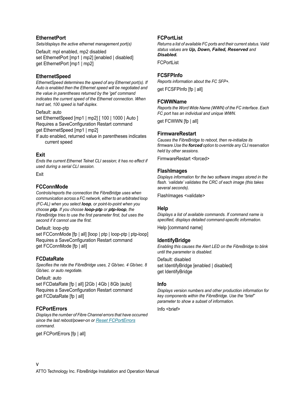#### **EthernetPort**

*Sets/displays the active ethernet management port(s)*

Default: mpl enabled, mp2 disabled set EthernetPort [mp1 | mp2] [enabled | disabled] get EthernetPort [mp1 | mp2]

#### **EthernetSpeed**

*EthernetSpeed determines the speed of any Ethernet port(s). If Auto is enabled then the Ethernet speed will be negotiated and the value in parentheses returned by the 'get' command indicates the current speed of the Ethernet connection. When hard set, 100 speed is half duplex.*

Default: auto

set EthernetSpeed [mp1 | mp2] [ 100 | 1000 | Auto ] Requires a SaveConfiguration Restart command get EthernetSpeed [mp1 | mp2]

If auto enabled, returned value in parentheses indicates current speed

#### **Exit**

*Ends the current Ethernet Telnet CLI session; it has no effect if used during a serial CLI session.*

Exit

#### **FCConnMode**

*Controls/reports the connection the FibreBridge uses when communication across a FC network, either to an arbitrated loop (FC-AL) when you select loop, or point-to-point when you choose ptp. If you choose loop-ptp or ptp-loop, the FibreBridge tries to use the first parameter first, but uses the second if it cannot use the first.*

Default: loop-ptp

set FCConnMode [fp | all] [loop | ptp | loop-ptp | ptp-loop] Requires a SaveConfiguration Restart command get FCConnMode [fp | all]

#### **FCDataRate**

*Specifies the rate the FibreBridge uses, 2 Gb/sec. 4 Gb/sec. 8 Gb/sec. or auto negotiate.* 

Default: auto

set FCDataRate [fp | all] [2Gb | 4Gb | 8Gb |auto] Requires a SaveConfiguration Restart command get FCDataRate [fp | all]

#### <span id="page-19-0"></span>**FCPortErrors**

*Displays the number of Fibre Channel errors that have occurred since the last reboot/power-on or [Reset FCPortErrors](#page-20-0) command.*

get FCPortErrors [fp | all]

#### **FCPortList**

*Returns a list of available FC ports and their current status. Valid status values are Up, Down, Failed, Reserved and Disabled.*

**FCPortList** 

#### **FCSFPInfo**

*Reports information about the FC SFP+.*

get FCSFPInfo [fp | all]

#### **FCWWName**

*Reports the Word Wide Name (WWN) of the FC interface. Each FC port has an individual and unique WWN.* 

get FCWWN [fp | all]

#### **FirmwareRestart**

*Causes the FibreBridge to reboot, then re-initialize its firmware.Use the forced option to override any CLI reservation held by other sessions.*

FirmwareRestart <forced>

#### **FlashImages**

*Displays information for the two software images stored in the flash. 'validate' validates the CRC of each image (this takes several seconds).*

FlashImages <validate>

#### **Help**

*Displays a list of available commands. If command name is specified, displays detailed command-specific information.*

Help [command name]

#### **IdentifyBridge**

*Enabling this causes the Alert LED on the FibreBridge to blink until the parameter is disabled.*

Default: disabled set IdentifyBridge [enabled | disabled] get IdentifyBridge

#### **Info**

*Displays version numbers and other production information for key components within the FibreBridge. Use the "brief" parameter to show a subset of information.*

Info <br/>
lnfo <br/>
info <br/>
info <br/>
info <br/>
info <br/>
info <br/>
info <br/>
info <br/>
info <br/>
info <br/>
info <br/>
info <br/>
info <br/>
info <br/>
info <br/>
info <br/>
info <br/>
info <br/>
info <br/>
in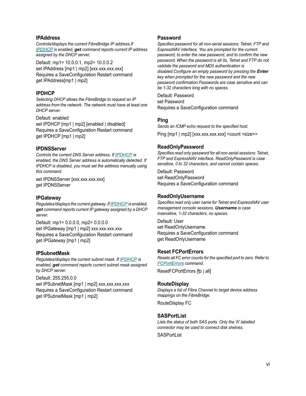#### **IPAddress**

*Controls/displays the current FibreBridge IP address.If [IPDHCP](#page-20-1) is enabled, get command reports current IP address assigned by the DHCP server.* 

Default: mp1= 10.0.0.1, mp2= 10.0.0.2 set IPAddress [mp1 | mp2] [xxx.xxx.xxx.xxx] Requires a SaveConfiguration Restart command get IPAddress[mp1 | mp2]

#### <span id="page-20-1"></span>**IPDHCP**

*Selecting DHCP allows the FibreBridge to request an IP address from the network. The network must have at least one DHCP server.* 

Default: enabled set IPDHCP [mp1 | mp2] [enabled | disabled] Requires a SaveConfiguration Restart command get IPDHCP [mp1 | mp2]

#### **IPDNSServer**

*Controls the current DNS Server address. If [IPDHCP](#page-20-1) is enabled, the DNS Server address is automatically detected. If IPDHCP is disabled, you must set the address manually using this command.*

set IPDNSServer [xxx.xxx.xxx.xxx] get IPDNSServer

#### **IPGateway**

*Regulates/displays the current gateway. If [IPDHCP](#page-20-1) is enabled, get command reports current IP gateway assigned by a DHCP server.* 

Default: mp1= 0.0.0.0, mp2= 0.0.0.0 set IPGateway [mp1 | mp2] xxx.xxx.xxx.xxx Requires a SaveConfiguration Restart command get IPGateway [mp1 | mp2]

#### **IPSubnetMask**

*Regulates/displays the current subnet mask. If [IPDHCP](#page-20-1) is enabled, get command reports current subnet mask assigned by DHCP server.* 

Default: 255.255.0.0 set IPSubnetMask [mp1 | mp2] xxx.xxx.xxx.xxx Requires a SaveConfiguration Restart command get IPSubnetMask [mp1 | mp2]

#### **Password**

*Specifies password for all non-serial sessions: Telnet, FTP and ExpressNAV interface. You are prompted for the current password, to enter the new password, and to confirm the new password. When the password is all 0s, Telnet and FTP do not validate the password and MD5 authentication is disabled.Configure an empty password by pressing the Enter key when prompted for the new password and the new password confirmation.Passwords are case sensitive and can be 1-32 characters long with no spaces.*

Default: Password set Password Requires a SaveConfiguration command

#### **Ping**

*Sends an ICMP echo request to the specified host.* Ping [mp1 | mp2] [xxx.xxx.xxx.xxx] <count <size>>

#### **ReadOnlyPassword**

*Specifies read only password for all non-serial sessions: Telnet, FTP and ExpressNAV interface. ReadOnlyPassword is case sensitive, 0 to 32 characters, and cannot contain spaces.*

Default: Password set ReadOnlyPassword Requires a SaveConfiguration command

#### **ReadOnlyUsername**

*Specifies read only user name for Telnet and ExpressNAV user management console sessions. Username is case insensitive, 1-32 characters, no spaces.* 

Default: User set ReadOnlyUsername Requires a SaveConfiguration command get ReadOnlyUsername

#### <span id="page-20-0"></span>**Reset FCPortErrors**

*Resets all FC error counts for the specified port to zero. Refer to [FCPortErrors](#page-19-0) command.*

ResetFCPortErrors [fp | all]

#### **RouteDisplay**

*Displays a list of Fibre Channel to target device address mappings on the FibreBridge.* 

RouteDisplay FC

#### **SASPortList**

*Lists the status of both SAS ports. Only the 'A' labelled connector may be used to connect disk shelves.*

**SASPortList**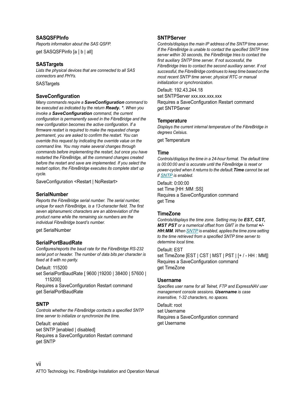#### **SASQSFPInfo**

*Reports information about the SAS QSFP.* get SASQSFPinfo [a | b | all]

#### **SASTargets**

*Lists the physical devices that are connected to all SAS connectors and PHYs.*

**SASTargets** 

#### **SaveConfiguration**

*Many commands require a SaveConfiguration command to be executed as indicated by the return Ready. \*. When you invoke a SaveConfiguration command, the current configuration is permanently saved in the FibreBridge and the new configuration becomes the active configuration. If a firmware restart is required to make the requested change permanent, you are asked to confirm the restart. You can override this request by indicating the override value on the command line. You may make several changes through commands before implementing the restart, but once you have restarted the FibreBridge, all the command changes created before the restart and save are implemented. If you select the restart option, the FibreBridge executes its complete start up cycle.*

SaveConfiguration <Restart | NoRestart>

#### **SerialNumber**

*Reports the FibreBridge serial number. The serial number, unique for each FibreBridge, is a 13-character field. The first seven alphanumeric characters are an abbreviation of the product name while the remaining six numbers are the individual FibreBridge board's number.* 

get SerialNumber

#### **SerialPortBaudRate**

*Configures/reports the baud rate for the FibreBridge RS-232 serial port or header. The number of data bits per character is fixed at 8 with no parity.* 

Default: 115200 set SerialPortBaudRate [ 9600 |19200 | 38400 | 57600 | 115200]

Requires a SaveConfiguration Restart command get SerialPortBaudRate

#### <span id="page-21-0"></span>**SNTP**

*Controls whether the FibreBridge contacts a specified SNTP time server to initialize or synchronize the time.*

Default: enabled set SNTP [enabled | disabled] Requires a SaveConfiguration Restart command get SNTP

#### **SNTPServer**

*Controls/displays the main IP address of the SNTP time server. If the FibreBridge is unable to contact the specified SNTP time server within 30 seconds, the FibreBridge tries to contact the first auxiliary SNTP time server. If not successful, the FibreBridge tries to contact the second auxiliary server. If not successful, the FibreBridge continues to keep time based on the most recent SNTP time server, physical RTC or manual initialization or synchronization.*

Default: 192.43.244.18

set SNTPServer xxx.xxx.xxx.xxx Requires a SaveConfiguration Restart command get SNTPServer

#### **Temperature**

*Displays the current internal temperature of the FibreBridge in degrees Celsius.*

get Temperature

#### **Time**

*Controls/displays the time in a 24-hour format. The default time is 00:00:00 and is accurate until the FibreBridge is reset or power-cycled when it returns to the default.Time cannot be set if [SNTP](#page-21-0) is enabled.*

Default: 0:00:00 set Time [HH :MM :SS] Requires a SaveConfiguration command get Time

#### **TimeZone**

*Controls/displays the time zone. Setting may be EST, CST, MST PST or a numerical offset from GMT in the format +/- HH:MM. When [SNTP](#page-21-0) is enabled, applies the time zone setting to the time retrieved from a specified SNTP time server to determine local time.* 

#### Default: EST

set TimeZone [EST | CST | MST | PST | [+ / - HH : MM]] Requires a SaveConfiguration command get TimeZone

#### **Username**

*Specifies user name for all Telnet, FTP and ExpressNAV user management console sessions. Username is case insensitive, 1-32 characters, no spaces.*

Default: root set Username Requires a SaveConfiguration command get Username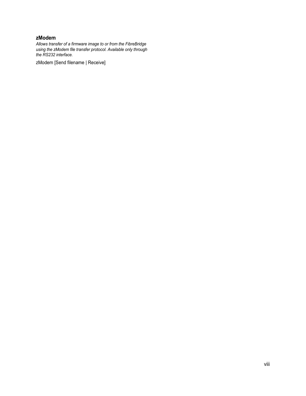#### **zModem**

*Allows transfer of a firmware image to or from the FibreBridge using the zModem file transfer protocol. Available only through the RS232 interface.*

zModem [Send filename | Receive]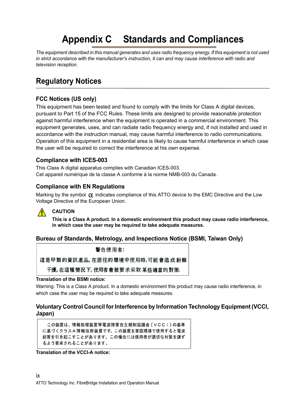# **Appendix C Standards and Compliances**

<span id="page-23-0"></span>*The equipment described in this manual generates and uses radio frequency energy. If this equipment is not used in strict accordance with the manufacturer's instruction, it can and may cause interference with radio and television reception.*

# <span id="page-23-1"></span>**Regulatory Notices**

## <span id="page-23-2"></span>**FCC Notices (US only)**

This equipment has been tested and found to comply with the limits for Class A digital devices, pursuant to Part 15 of the FCC Rules. These limits are designed to provide reasonable protection against harmful interference when the equipment is operated in a commercial environment. This equipment generates, uses, and can radiate radio frequency energy and, if not installed and used in accordance with the instruction manual, may cause harmful interference to radio communications. Operation of this equipment in a residential area is likely to cause harmful interference in which case the user will be required to correct the interference at his own expense.

### <span id="page-23-3"></span>**Compliance with ICES-003**

This Class A digital apparatus complies with Canadian ICES-003. Cet appareil numérique de la classe A conforme à la norme NMB-003 du Canada.

### <span id="page-23-4"></span>**Compliance with EN Regulations**

Marking by the symbol  $\epsilon$  indicates compliance of this ATTO device to the EMC Directive and the Low Voltage Directive of the European Union.



### **CAUTION**

**This is a Class A product. In a domestic environment this product may cause radio interference, in which case the user may be required to take adequate measures.**

### <span id="page-23-5"></span>**Bureau of Standards, Metrology, and Inspections Notice (BSMI, Taiwan Only)**

警告使用者:

這是甲類的資訊產品,在居住的環境中使用時,可能會造成射頻

干擾,在這種情況下,使用者會被要求采取某些適當的對策.

#### **Translation of the BSMI notice:**

Warning: This is a Class A product. In a domestic environment this product may cause radio interference, in which case the user may be required to take adequate measures.

### <span id="page-23-6"></span>**Voluntary Control Council for Interference by Information Technology Equipment (VCCI, Japan)**

この装置は、情報処理装置等電波障害自主規制協議会(VCCI)の基準 に基づくクラスA情報技術装置です。この装置を家庭環境で使用すると電波 妨害を引き起こすことがあります。この場合には使用者が適切な対策を講ず るよう要求されることがあります。

**Translation of the VCCI-A notice:**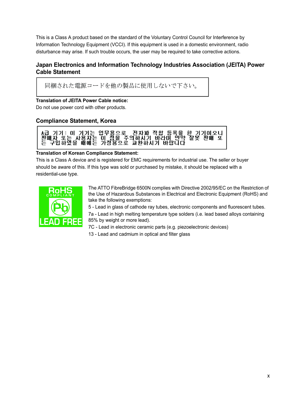This is a Class A product based on the standard of the Voluntary Control Council for Interference by Information Technology Equipment (VCCI). If this equipment is used in a domestic environment, radio disturbance may arise. If such trouble occurs, the user may be required to take corrective actions.

### <span id="page-24-0"></span>**Japan Electronics and Information Technology Industries Association (JEITA) Power Cable Statement**

同梱された電源コードを他の製品に使用しないで下さい。

**Translation of JEITA Power Cable notice:**

Do not use power cord with other products.

## <span id="page-24-1"></span>**Compliance Statement, Korea**



#### **Translation of Korean Compliance Statement:**

This is a Class A device and is registered for EMC requirements for industrial use. The seller or buyer should be aware of this. If this type was sold or purchased by mistake, it should be replaced with a residential-use type.



The ATTO FibreBridge 6500N complies with Directive 2002/95/EC on the Restriction of the Use of Hazardous Substances in Electrical and Electronic Equipment (RoHS) and take the following exemptions:

5 - Lead in glass of cathode ray tubes, electronic components and fluorescent tubes. 7a - Lead in high melting temperature type solders (i.e. lead based alloys containing 85% by weight or more lead).

7C - Lead in electronic ceramic parts (e.g. piezoelectronic devices)

13 - Lead and cadmium in optical and filter glass